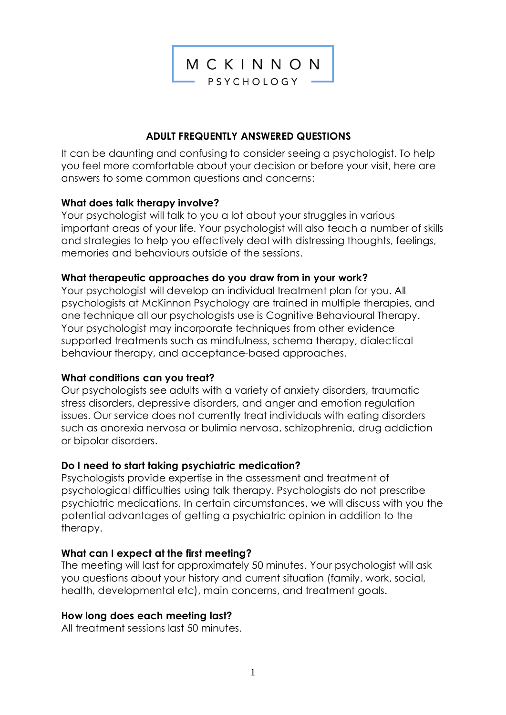

# **ADULT FREQUENTLY ANSWERED QUESTIONS**

It can be daunting and confusing to consider seeing a psychologist. To help you feel more comfortable about your decision or before your visit, here are answers to some common questions and concerns:

### **What does talk therapy involve?**

Your psychologist will talk to you a lot about your struggles in various important areas of your life. Your psychologist will also teach a number of skills and strategies to help you effectively deal with distressing thoughts, feelings, memories and behaviours outside of the sessions.

### **What therapeutic approaches do you draw from in your work?**

Your psychologist will develop an individual treatment plan for you. All psychologists at McKinnon Psychology are trained in multiple therapies, and one technique all our psychologists use is Cognitive Behavioural Therapy. Your psychologist may incorporate techniques from other evidence supported treatments such as mindfulness, schema therapy, dialectical behaviour therapy, and acceptance-based approaches.

#### **What conditions can you treat?**

Our psychologists see adults with a variety of anxiety disorders, traumatic stress disorders, depressive disorders, and anger and emotion regulation issues. Our service does not currently treat individuals with eating disorders such as anorexia nervosa or bulimia nervosa, schizophrenia, drug addiction or bipolar disorders.

# **Do I need to start taking psychiatric medication?**

Psychologists provide expertise in the assessment and treatment of psychological difficulties using talk therapy. Psychologists do not prescribe psychiatric medications. In certain circumstances, we will discuss with you the potential advantages of getting a psychiatric opinion in addition to the therapy.

# **What can I expect at the first meeting?**

The meeting will last for approximately 50 minutes. Your psychologist will ask you questions about your history and current situation (family, work, social, health, developmental etc), main concerns, and treatment goals.

# **How long does each meeting last?**

All treatment sessions last 50 minutes.